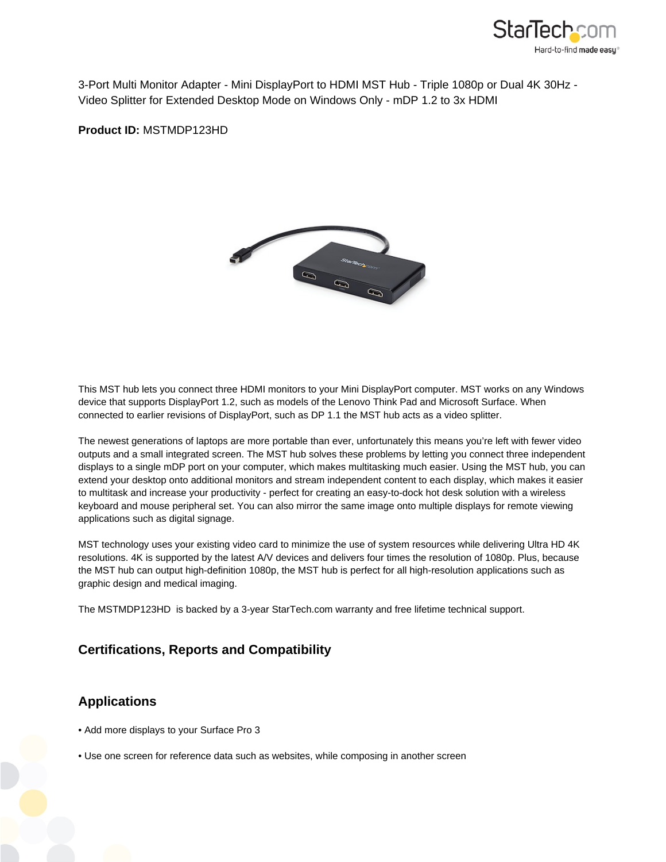

3-Port Multi Monitor Adapter - Mini DisplayPort to HDMI MST Hub - Triple 1080p or Dual 4K 30Hz - Video Splitter for Extended Desktop Mode on Windows Only - mDP 1.2 to 3x HDMI

**Product ID:** MSTMDP123HD



This MST hub lets you connect three HDMI monitors to your Mini DisplayPort computer. MST works on any Windows device that supports DisplayPort 1.2, such as models of the Lenovo Think Pad and Microsoft Surface. When connected to earlier revisions of DisplayPort, such as DP 1.1 the MST hub acts as a video splitter.

The newest generations of laptops are more portable than ever, unfortunately this means you're left with fewer video outputs and a small integrated screen. The MST hub solves these problems by letting you connect three independent displays to a single mDP port on your computer, which makes multitasking much easier. Using the MST hub, you can extend your desktop onto additional monitors and stream independent content to each display, which makes it easier to multitask and increase your productivity - perfect for creating an easy-to-dock hot desk solution with a wireless keyboard and mouse peripheral set. You can also mirror the same image onto multiple displays for remote viewing applications such as digital signage.

MST technology uses your existing video card to minimize the use of system resources while delivering Ultra HD 4K resolutions. 4K is supported by the latest A/V devices and delivers four times the resolution of 1080p. Plus, because the MST hub can output high-definition 1080p, the MST hub is perfect for all high-resolution applications such as graphic design and medical imaging.

The MSTMDP123HD is backed by a 3-year StarTech.com warranty and free lifetime technical support.

## **Certifications, Reports and Compatibility**

## **Applications**

- Add more displays to your Surface Pro 3
- Use one screen for reference data such as websites, while composing in another screen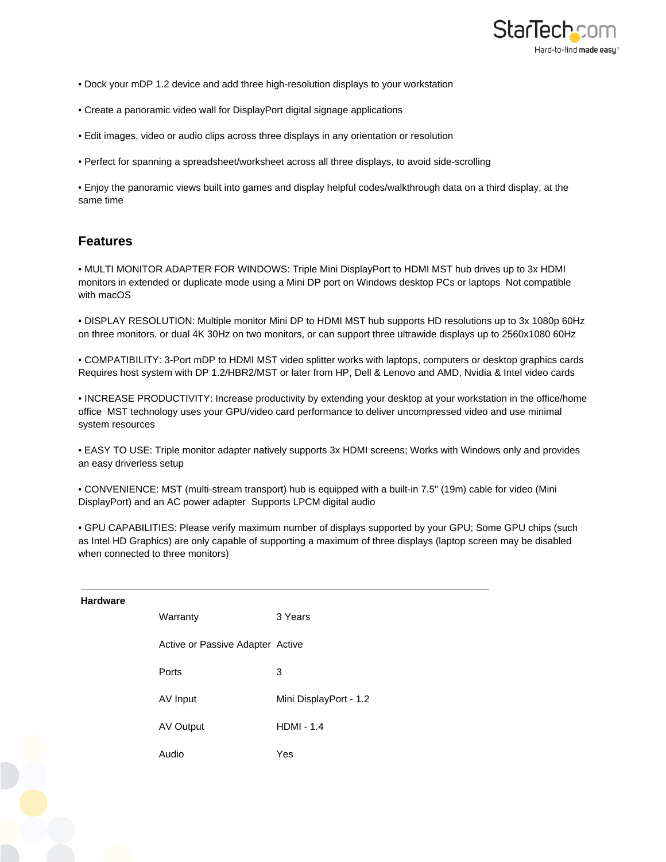

- Dock your mDP 1.2 device and add three high-resolution displays to your workstation
- Create a panoramic video wall for DisplayPort digital signage applications
- Edit images, video or audio clips across three displays in any orientation or resolution
- Perfect for spanning a spreadsheet/worksheet across all three displays, to avoid side-scrolling

• Enjoy the panoramic views built into games and display helpful codes/walkthrough data on a third display, at the same time

## **Features**

• MULTI MONITOR ADAPTER FOR WINDOWS: Triple Mini DisplayPort to HDMI MST hub drives up to 3x HDMI monitors in extended or duplicate mode using a Mini DP port on Windows desktop PCs or laptops Not compatible with macOS

• DISPLAY RESOLUTION: Multiple monitor Mini DP to HDMI MST hub supports HD resolutions up to 3x 1080p 60Hz on three monitors, or dual 4K 30Hz on two monitors, or can support three ultrawide displays up to 2560x1080 60Hz

• COMPATIBILITY: 3-Port mDP to HDMI MST video splitter works with laptops, computers or desktop graphics cards Requires host system with DP 1.2/HBR2/MST or later from HP, Dell & Lenovo and AMD, Nvidia & Intel video cards

• INCREASE PRODUCTIVITY: Increase productivity by extending your desktop at your workstation in the office/home office MST technology uses your GPU/video card performance to deliver uncompressed video and use minimal system resources

• EASY TO USE: Triple monitor adapter natively supports 3x HDMI screens; Works with Windows only and provides an easy driverless setup

• CONVENIENCE: MST (multi-stream transport) hub is equipped with a built-in 7.5" (19m) cable for video (Mini DisplayPort) and an AC power adapter Supports LPCM digital audio

• GPU CAPABILITIES: Please verify maximum number of displays supported by your GPU; Some GPU chips (such as Intel HD Graphics) are only capable of supporting a maximum of three displays (laptop screen may be disabled when connected to three monitors)

| Hardware |                                  |                        |
|----------|----------------------------------|------------------------|
|          | Warranty                         | 3 Years                |
|          | Active or Passive Adapter Active |                        |
|          | Ports                            | 3                      |
|          | AV Input                         | Mini DisplayPort - 1.2 |
|          | AV Output                        | $HDMI - 1.4$           |
|          | Audio                            | Yes                    |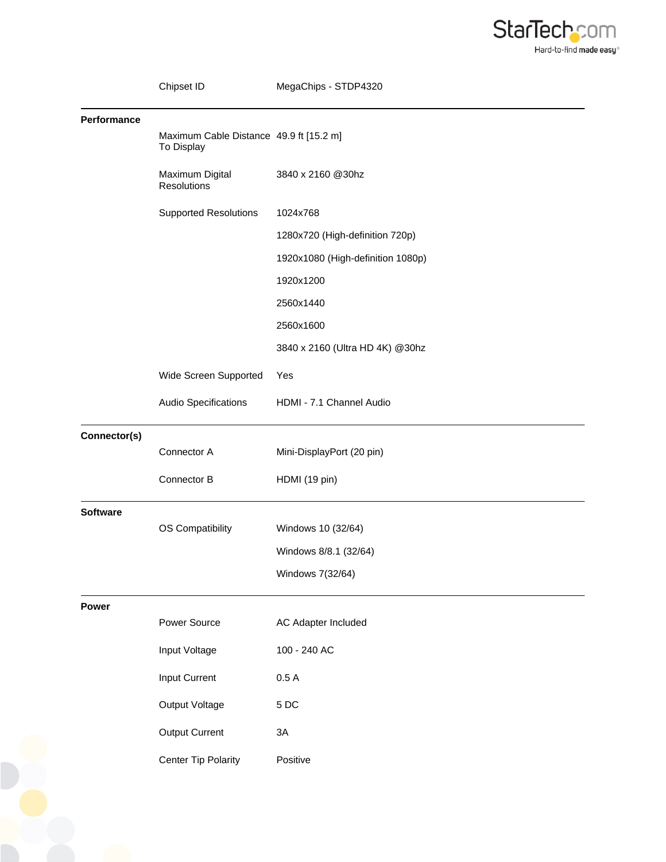

|                 | Chipset ID                                            | MegaChips - STDP4320              |
|-----------------|-------------------------------------------------------|-----------------------------------|
| Performance     | Maximum Cable Distance 49.9 ft [15.2 m]<br>To Display |                                   |
|                 | Maximum Digital<br>Resolutions                        | 3840 x 2160 @30hz                 |
|                 | <b>Supported Resolutions</b>                          | 1024x768                          |
|                 |                                                       | 1280x720 (High-definition 720p)   |
|                 |                                                       | 1920x1080 (High-definition 1080p) |
|                 |                                                       | 1920x1200                         |
|                 |                                                       | 2560x1440                         |
|                 |                                                       | 2560x1600                         |
|                 |                                                       | 3840 x 2160 (Ultra HD 4K) @30hz   |
|                 | Wide Screen Supported                                 | Yes                               |
|                 | Audio Specifications                                  | HDMI - 7.1 Channel Audio          |
| Connector(s)    |                                                       |                                   |
|                 | Connector A                                           | Mini-DisplayPort (20 pin)         |
|                 | Connector B                                           | HDMI (19 pin)                     |
| <b>Software</b> |                                                       |                                   |
|                 | OS Compatibility                                      | Windows 10 (32/64)                |
|                 |                                                       | Windows 8/8.1 (32/64)             |
|                 |                                                       | Windows 7(32/64)                  |
| <b>Power</b>    |                                                       |                                   |
|                 | Power Source                                          | <b>AC Adapter Included</b>        |
|                 | Input Voltage                                         | 100 - 240 AC                      |
|                 | Input Current                                         | 0.5A                              |
|                 | Output Voltage                                        | 5DC                               |
|                 | Output Current                                        | 3A                                |
|                 | <b>Center Tip Polarity</b>                            | Positive                          |